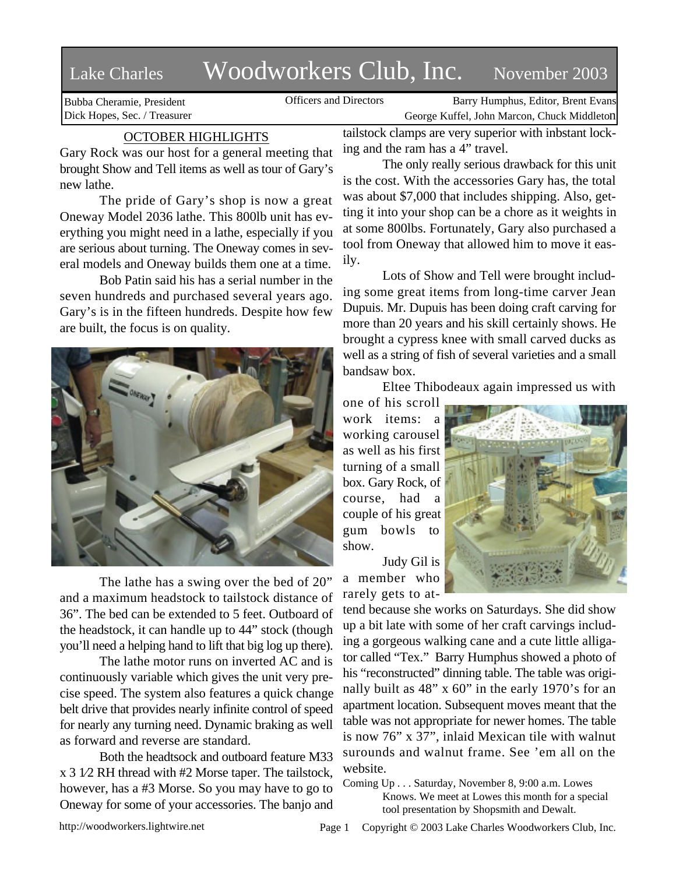# Lake Charles Woodworkers Club, Inc. November 2003

Bubba Cheramie, President Dick Hopes, Sec. / Treasurer

Officers and Directors Barry Humphus, Editor, Brent Evans George Kuffel, John Marcon, Chuck Middleton

## OCTOBER HIGHLIGHTS

Gary Rock was our host for a general meeting that brought Show and Tell items as well as tour of Gary's new lathe.

The pride of Gary's shop is now a great Oneway Model 2036 lathe. This 800lb unit has everything you might need in a lathe, especially if you are serious about turning. The Oneway comes in several models and Oneway builds them one at a time.

Bob Patin said his has a serial number in the seven hundreds and purchased several years ago. Gary's is in the fifteen hundreds. Despite how few are built, the focus is on quality.



The lathe has a swing over the bed of 20" and a maximum headstock to tailstock distance of 36". The bed can be extended to 5 feet. Outboard of the headstock, it can handle up to 44" stock (though you'll need a helping hand to lift that big log up there).

The lathe motor runs on inverted AC and is continuously variable which gives the unit very precise speed. The system also features a quick change belt drive that provides nearly infinite control of speed for nearly any turning need. Dynamic braking as well as forward and reverse are standard.

Both the headtsock and outboard feature M33 x 3 1⁄2 RH thread with #2 Morse taper. The tailstock, however, has a #3 Morse. So you may have to go to Oneway for some of your accessories. The banjo and

tailstock clamps are very superior with inbstant locking and the ram has a 4" travel.

The only really serious drawback for this unit is the cost. With the accessories Gary has, the total was about \$7,000 that includes shipping. Also, getting it into your shop can be a chore as it weights in at some 800lbs. Fortunately, Gary also purchased a tool from Oneway that allowed him to move it easily.

Lots of Show and Tell were brought including some great items from long-time carver Jean Dupuis. Mr. Dupuis has been doing craft carving for more than 20 years and his skill certainly shows. He brought a cypress knee with small carved ducks as well as a string of fish of several varieties and a small bandsaw box.

Eltee Thibodeaux again impressed us with

one of his scroll work items: working carousel as well as his first turning of a small box. Gary Rock, of course, had a couple of his great gum bowls to show.

Judy Gil is a member who rarely gets to at-



tend because she works on Saturdays. She did show up a bit late with some of her craft carvings including a gorgeous walking cane and a cute little alligator called "Tex." Barry Humphus showed a photo of his "reconstructed" dinning table. The table was originally built as 48" x 60" in the early 1970's for an apartment location. Subsequent moves meant that the table was not appropriate for newer homes. The table is now 76" x 37", inlaid Mexican tile with walnut surounds and walnut frame. See 'em all on the website.

Coming Up . . . Saturday, November 8, 9:00 a.m. Lowes Knows. We meet at Lowes this month for a special tool presentation by Shopsmith and Dewalt.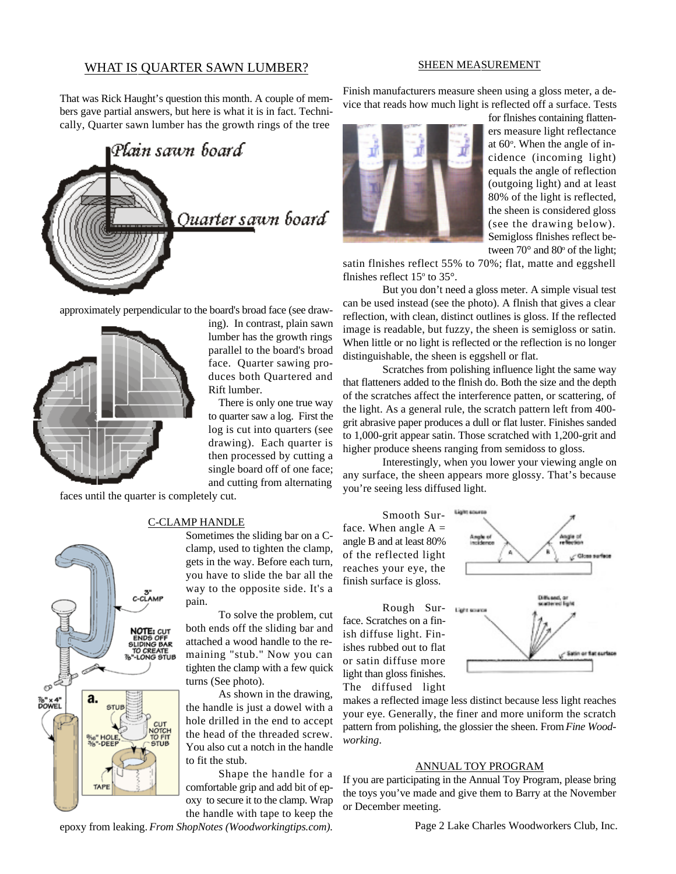## WHAT IS QUARTER SAWN LUMBER?

#### SHEEN MEASUREMENT

That was Rick Haught's question this month. A couple of members gave partial answers, but here is what it is in fact. Technically, Quarter sawn lumber has the growth rings of the tree



approximately perpendicular to the board's broad face (see draw-



ing). In contrast, plain sawn lumber has the growth rings parallel to the board's broad face. Quarter sawing produces both Quartered and Rift lumber.

There is only one true way to quarter saw a log. First the log is cut into quarters (see drawing). Each quarter is then processed by cutting a single board off of one face; and cutting from alternating

faces until the quarter is completely cut.



## C-CLAMP HANDLE

Sometimes the sliding bar on a Cclamp, used to tighten the clamp, gets in the way. Before each turn, you have to slide the bar all the way to the opposite side. It's a pain.

To solve the problem, cut both ends off the sliding bar and attached a wood handle to the remaining "stub." Now you can tighten the clamp with a few quick turns (See photo).

As shown in the drawing, the handle is just a dowel with a hole drilled in the end to accept the head of the threaded screw. You also cut a notch in the handle to fit the stub.

Shape the handle for a comfortable grip and add bit of epoxy to secure it to the clamp. Wrap the handle with tape to keep the

epoxy from leaking. *From ShopNotes (Woodworkingtips.com).*

Finish manufacturers measure sheen using a gloss meter, a device that reads how much light is reflected off a surface. Tests



for flnishes containing flatteners measure light reflectance at  $60^\circ$ . When the angle of incidence (incoming light) equals the angle of reflection (outgoing light) and at least 80% of the light is reflected, the sheen is considered gloss (see the drawing below). Semigloss flnishes reflect between  $70^{\circ}$  and  $80^{\circ}$  of the light;

satin flnishes reflect 55% to 70%; flat, matte and eggshell flnishes reflect  $15^{\circ}$  to  $35^{\circ}$ .

But you don't need a gloss meter. A simple visual test can be used instead (see the photo). A flnish that gives a clear reflection, with clean, distinct outlines is gloss. If the reflected image is readable, but fuzzy, the sheen is semigloss or satin. When little or no light is reflected or the reflection is no longer distinguishable, the sheen is eggshell or flat.

Scratches from polishing influence light the same way that flatteners added to the flnish do. Both the size and the depth of the scratches affect the interference patten, or scattering, of the light. As a general rule, the scratch pattern left from 400 grit abrasive paper produces a dull or flat luster. Finishes sanded to 1,000-grit appear satin. Those scratched with 1,200-grit and higher produce sheens ranging from semidoss to gloss.

Interestingly, when you lower your viewing angle on any surface, the sheen appears more glossy. That's because you're seeing less diffused light.

Smooth Surface. When angle  $A =$ angle B and at least 80% of the reflected light reaches your eye, the finish surface is gloss.

Rough Surface. Scratches on a finish diffuse light. Finishes rubbed out to flat or satin diffuse more light than gloss finishes. The diffused light



makes a reflected image less distinct because less light reaches your eye. Generally, the finer and more uniform the scratch pattern from polishing, the glossier the sheen. From *Fine Woodworking*.

### ANNUAL TOY PROGRAM

If you are participating in the Annual Toy Program, please bring the toys you've made and give them to Barry at the November or December meeting.